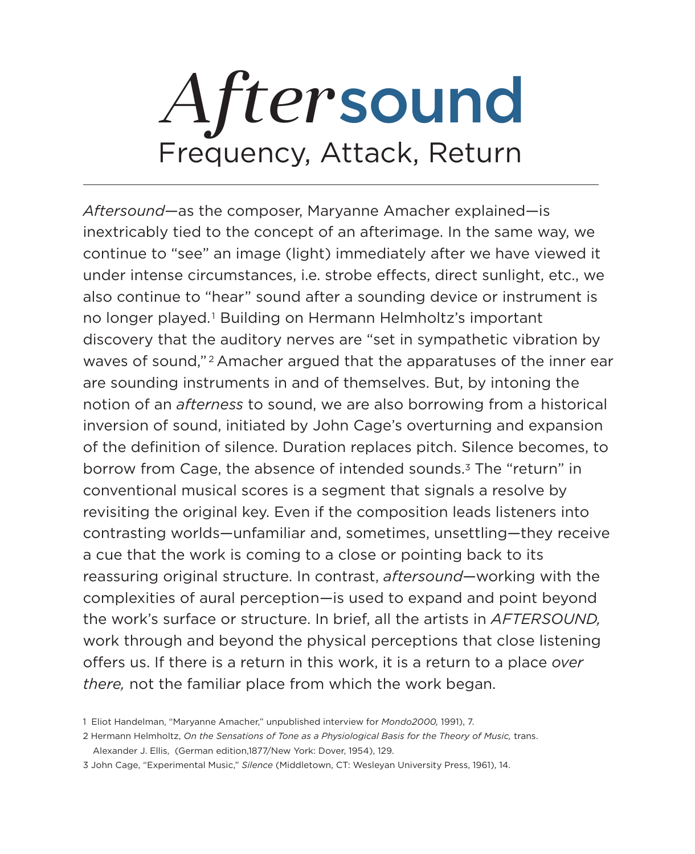discovery that the auditory nerves are "set in sympathetic vibration by waves of sound,"<sup>2</sup> Amacher argued that the apparatuses of the inner ear are sounding instruments in and of themselves. But, by intoning the notion of an *afterness* to sound, we are also borrowing from a historical inversion of sound, initiated by John Cage's overturning and expansion of the definition of silence. Duration replaces pitch. Silence becomes, to borrow from Cage, the absence of intended sounds.<sup>3</sup> The "return" in conventional musical scores is a segment that signals a resolve by revisiting the original key. Even if the composition leads listeners into contrasting worlds—unfamiliar and, sometimes, unsettling—they receive a cue that the work is coming to a close or pointing back to its reassuring original structure. In contrast, *aftersound*—working with the complexities of aural perception—is used to expand and point beyond the work's surface or structure. In brief, all the artists in *AFTERSOUND,* work through and beyond the physical perceptions that close listening offers us. If there is a return in this work, it is a return to a place *over* 

#### *there,* not the familiar place from which the work began.

1 Eliot Handelman, "Maryanne Amacher," unpublished interview for *Mondo2000,* 1991), 7.

2 Hermann Helmholtz, *On the Sensations of Tone as a Physiological Basis for the Theory of Music,* trans.

Alexander J. Ellis, (German edition,1877/New York: Dover, 1954), 129.

3 John Cage, "Experimental Music," *Silence* (Middletown, CT: Wesleyan University Press, 1961), 14.

# *After*sound Frequency, Attack, Return

*Aftersound*—as the composer, Maryanne Amacher explained—is inextricably tied to the concept of an afterimage. In the same way, we continue to "see" an image (light) immediately after we have viewed it under intense circumstances, i.e. strobe effects, direct sunlight, etc., we also continue to "hear" sound after a sounding device or instrument is no longer played.<sup>1</sup> Building on Hermann Helmholtz's important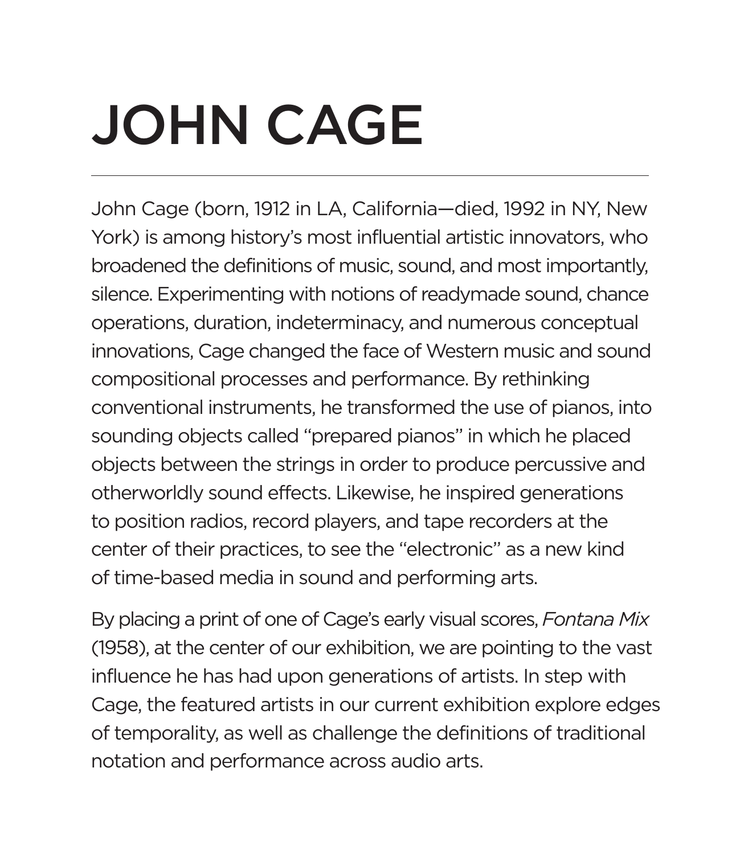John Cage (born, 1912 in LA, California—died, 1992 in NY, New York) is among history's most influential artistic innovators, who broadened the definitions of music, sound, and most importantly, silence. Experimenting with notions of readymade sound, chance operations, duration, indeterminacy, and numerous conceptual innovations, Cage changed the face of Western music and sound compositional processes and performance. By rethinking conventional instruments, he transformed the use of pianos, into sounding objects called "prepared pianos" in which he placed objects between the strings in order to produce percussive and otherworldly sound effects. Likewise, he inspired generations to position radios, record players, and tape recorders at the center of their practices, to see the "electronic" as a new kind of time-based media in sound and performing arts.

By placing a print of one of Cage's early visual scores, *Fontana Mix*  (1958), at the center of our exhibition, we are pointing to the vast influence he has had upon generations of artists. In step with Cage, the featured artists in our current exhibition explore edges of temporality, as well as challenge the definitions of traditional notation and performance across audio arts.

# JOHN CAGE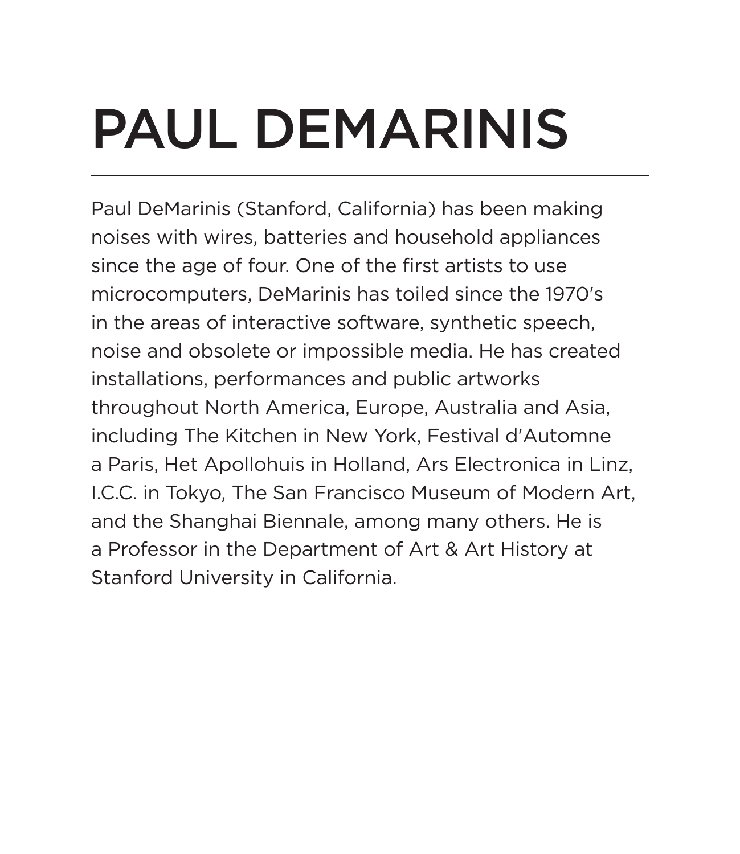Paul DeMarinis (Stanford, California) has been making noises with wires, batteries and household appliances since the age of four. One of the first artists to use microcomputers, DeMarinis has toiled since the 1970's in the areas of interactive software, synthetic speech, noise and obsolete or impossible media. He has created installations, performances and public artworks throughout North America, Europe, Australia and Asia, including The Kitchen in New York, Festival d'Automne a Paris, Het Apollohuis in Holland, Ars Electronica in Linz, I.C.C. in Tokyo, The San Francisco Museum of Modern Art, and the Shanghai Biennale, among many others. He is a Professor in the Department of Art & Art History at Stanford University in California.

#### PAUL DEMARINIS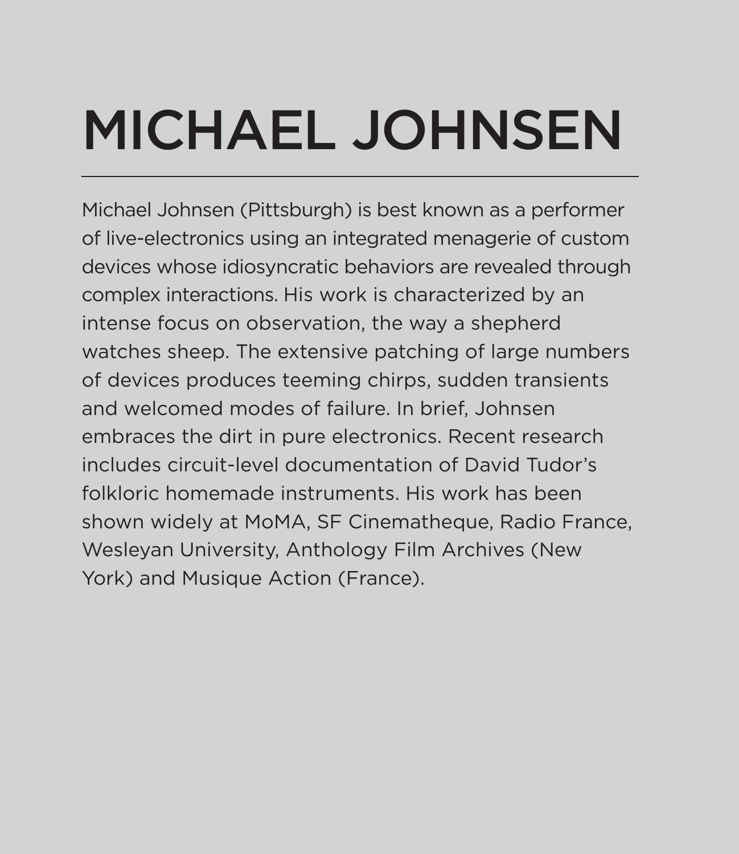Michael Johnsen (Pittsburgh) is best known as a performer of live-electronics using an integrated menagerie of custom devices whose idiosyncratic behaviors are revealed through complex interactions. His work is characterized by an intense focus on observation, the way a shepherd watches sheep. The extensive patching of large numbers of devices produces teeming chirps, sudden transients and welcomed modes of failure. In brief, Johnsen embraces the dirt in pure electronics. Recent research includes circuit-level documentation of David Tudor's folkloric homemade instruments. His work has been shown widely at MoMA, SF Cinematheque, Radio France, Wesleyan University, Anthology Film Archives (New York) and Musique Action (France).

# MICHAEL JOHNSEN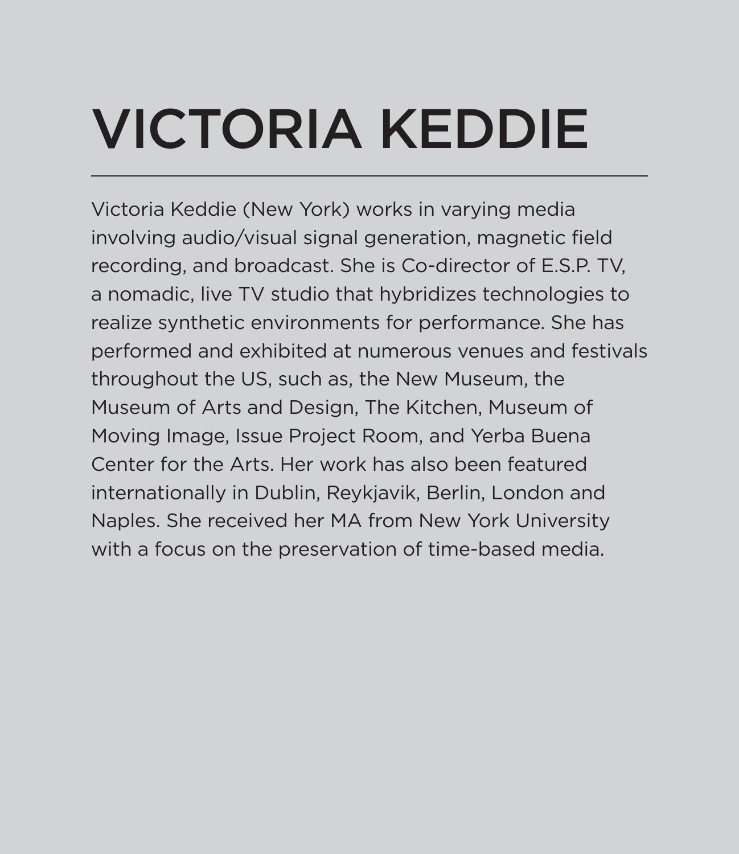Victoria Keddie (New York) works in varying media involving audio/visual signal generation, magnetic field recording, and broadcast. She is Co-director of E.S.P. TV, a nomadic, live TV studio that hybridizes technologies to realize synthetic environments for performance. She has performed and exhibited at numerous venues and festivals throughout the US, such as, the New Museum, the Museum of Arts and Design, The Kitchen, Museum of Moving Image, Issue Project Room, and Yerba Buena Center for the Arts. Her work has also been featured internationally in Dublin, Reykjavik, Berlin, London and Naples. She received her MA from New York University with a focus on the preservation of time-based media.

# VICTORIA KEDDIE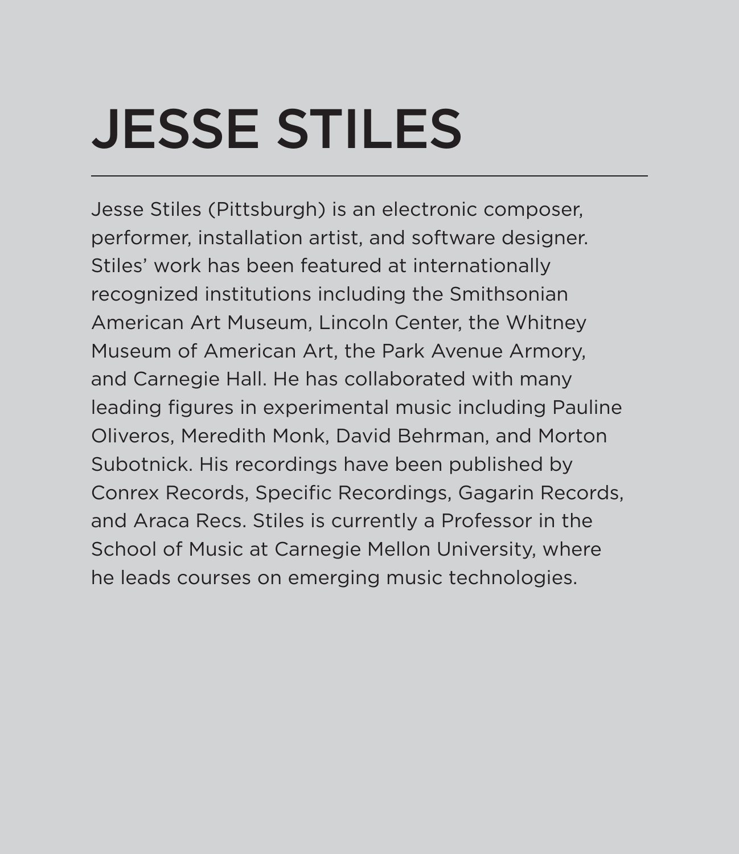Jesse Stiles (Pittsburgh) is an electronic composer, performer, installation artist, and software designer. Stiles' work has been featured at internationally recognized institutions including the Smithsonian American Art Museum, Lincoln Center, the Whitney Museum of American Art, the Park Avenue Armory, and Carnegie Hall. He has collaborated with many leading figures in experimental music including Pauline Oliveros, Meredith Monk, David Behrman, and Morton Subotnick. His recordings have been published by Conrex Records, Specific Recordings, Gagarin Records, and Araca Recs. Stiles is currently a Professor in the School of Music at Carnegie Mellon University, where he leads courses on emerging music technologies.

#### JESSE STILES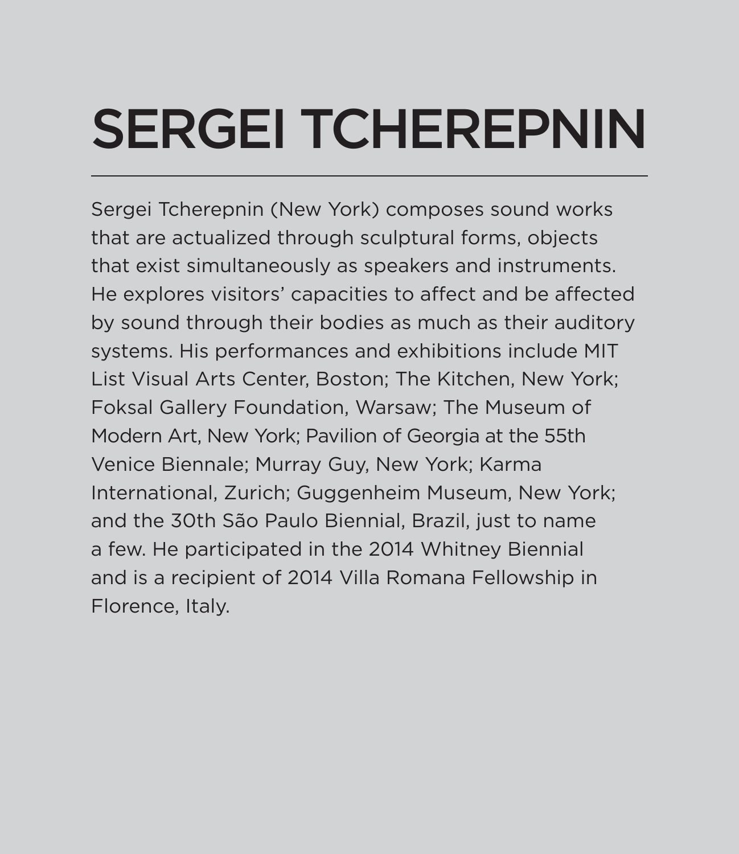#### SERGEI TCHEREPNIN

Sergei Tcherepnin (New York) composes sound works that are actualized through sculptural forms, objects that exist simultaneously as speakers and instruments. He explores visitors' capacities to affect and be affected by sound through their bodies as much as their auditory systems. His performances and exhibitions include MIT List Visual Arts Center, Boston; The Kitchen, New York; Foksal Gallery Foundation, Warsaw; The Museum of Modern Art, New York; Pavilion of Georgia at the 55th Venice Biennale; Murray Guy, New York; Karma International, Zurich; Guggenheim Museum, New York; and the 30th São Paulo Biennial, Brazil, just to name a few. He participated in the 2014 Whitney Biennial and is a recipient of 2014 Villa Romana Fellowship in Florence, Italy.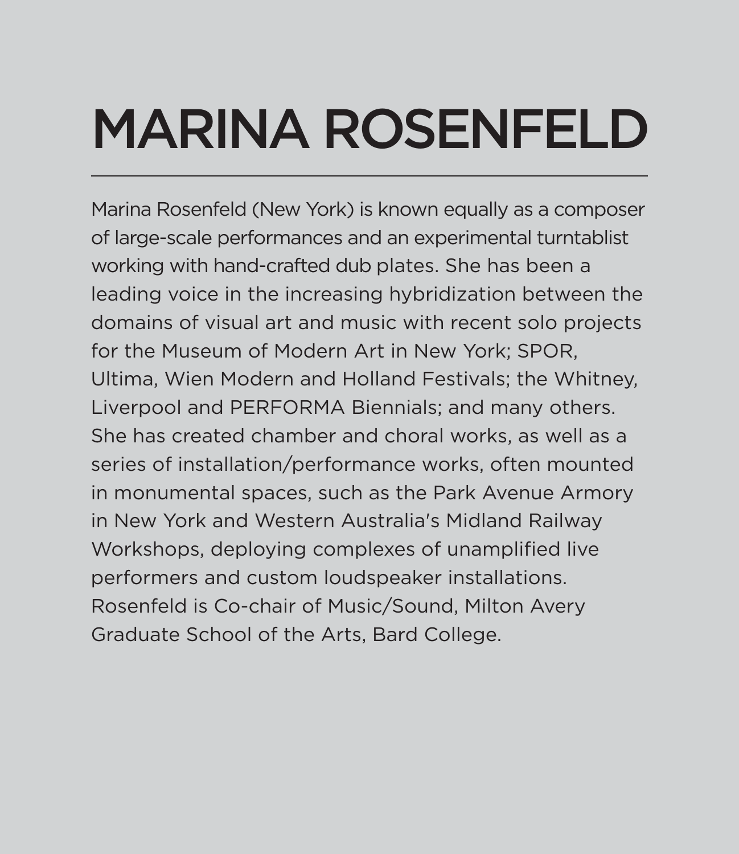Marina Rosenfeld (New York) is known equally as a composer of large-scale performances and an experimental turntablist working with hand-crafted dub plates. She has been a leading voice in the increasing hybridization between the domains of visual art and music with recent solo projects for the Museum of Modern Art in New York; SPOR, Ultima, Wien Modern and Holland Festivals; the Whitney, Liverpool and PERFORMA Biennials; and many others. She has created chamber and choral works, as well as a series of installation/performance works, often mounted in monumental spaces, such as the Park Avenue Armory in New York and Western Australia's Midland Railway Workshops, deploying complexes of unamplified live performers and custom loudspeaker installations. Rosenfeld is Co-chair of Music/Sound, Milton Avery Graduate School of the Arts, Bard College.

## MARINA ROSENFELD